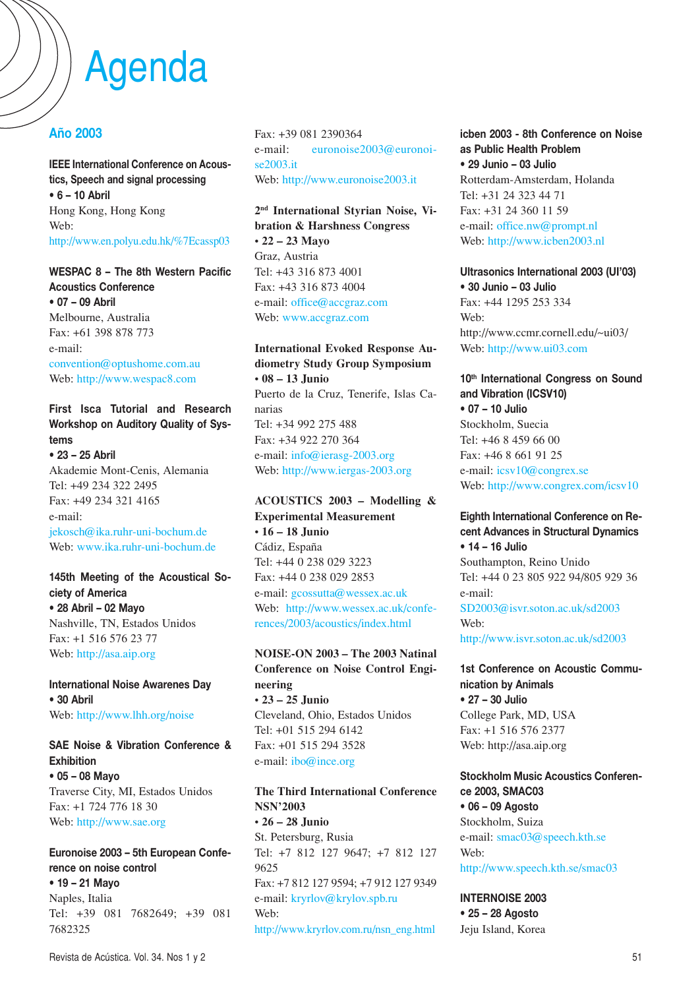# Agenda

## **Año 2003**

**IEEE International Conference on Acoustics, Speech and signal processing • 6 – 10 Abril** Hong Kong, Hong Kong Web: http://www.en.polyu.edu.hk/%7Ecassp03

**WESPAC 8 – The 8th Western Pacific Acoustics Conference • 07 – 09 Abril** Melbourne, Australia Fax: +61 398 878 773 e-mail: convention@optushome.com.au Web: http://www.wespac8.com

**First Isca Tutorial and Research Workshop on Auditory Quality of Systems**

**• 23 – 25 Abril** Akademie Mont-Cenis, Alemania Tel: +49 234 322 2495 Fax: +49 234 321 4165 e-mail: jekosch@ika.ruhr-uni-bochum.de Web: www.ika.ruhr-uni-bochum.de

**145th Meeting of the Acoustical Society of America • 28 Abril – 02 Mayo** Nashville, TN, Estados Unidos Fax: +1 516 576 23 77 Web: http://asa.aip.org

**International Noise Awarenes Day • 30 Abril** Web: http://www.lhh.org/noise

## **SAE Noise & Vibration Conference & Exhibition**

**• 05 – 08 Mayo** Traverse City, MI, Estados Unidos Fax: +1 724 776 18 30 Web: http://www.sae.org

## **Euronoise 2003 – 5th European Conference on noise control • 19 – 21 Mayo** Naples, Italia Tel: +39 081 7682649; +39 081 7682325

Fax: +39 081 2390364 e-mail: euronoise2003@euronoise2003.it Web: http://www.euronoise2003.it

**2nd International Styrian Noise, Vibration & Harshness Congress** • **22 – 23 Mayo** Graz, Austria Tel: +43 316 873 4001 Fax: +43 316 873 4004 e-mail: office@accgraz.com Web: www.accgraz.com

**International Evoked Response Audiometry Study Group Symposium** • **08 – 13 Junio** Puerto de la Cruz, Tenerife, Islas Canarias Tel: +34 992 275 488 Fax: +34 922 270 364 e-mail: info@ierasg-2003.org Web: http://www.iergas-2003.org

**ACOUSTICS 2003 – Modelling & Experimental Measurement** • **16 – 18 Junio** Cádiz, España Tel: +44 0 238 029 3223 Fax: +44 0 238 029 2853 e-mail: gcossutta@wessex.ac.uk Web: http://www.wessex.ac.uk/conferences/2003/acoustics/index.html

**NOISE-ON 2003 – The 2003 Natinal Conference on Noise Control Engineering** • **23 – 25 Junio** Cleveland, Ohio, Estados Unidos Tel: +01 515 294 6142 Fax: +01 515 294 3528 e-mail: ibo@ince.org

**The Third International Conference NSN'2003** • **26 – 28 Junio** St. Petersburg, Rusia Tel: +7 812 127 9647; +7 812 127 9625 Fax: +7 812 127 9594; +7 912 127 9349 e-mail: kryrlov@krylov.spb.ru Web: http://www.kryrlov.com.ru/nsn\_eng.html

**icben 2003 - 8th Conference on Noise as Public Health Problem • 29 Junio – 03 Julio** Rotterdam-Amsterdam, Holanda Tel: +31 24 323 44 71 Fax: +31 24 360 11 59 e-mail: office.nw@prompt.nl Web: http://www.icben2003.nl

**Ultrasonics International 2003 (UI'03) • 30 Junio – 03 Julio**  $Fax: +44$  1295 253 334 Web: http://www.ccmr.cornell.edu/~ui03/ Web: http://www.ui03.com

### **10th International Congress on Sound and Vibration (ICSV10)**

**• 07 – 10 Julio** Stockholm, Suecia Tel: +46 8 459 66 00 Fax: +46 8 661 91 25 e-mail: icsv10@congrex.se Web: http://www.congrex.com/icsv10

**Eighth International Conference on Recent Advances in Structural Dynamics • 14 – 16 Julio** Southampton, Reino Unido Tel: +44 0 23 805 922 94/805 929 36 e-mail: SD2003@isvr.soton.ac.uk/sd2003 Web:

http://www.isvr.soton.ac.uk/sd2003

**1st Conference on Acoustic Communication by Animals • 27 – 30 Julio** College Park, MD, USA Fax: +1 516 576 2377 Web: http://asa.aip.org

**Stockholm Music Acoustics Conference 2003, SMAC03 • 06 – 09 Agosto** Stockholm, Suiza e-mail: smac03@speech.kth.se Web: http://www.speech.kth.se/smac03

**INTERNOISE 2003**

**• 25 – 28 Agosto** Jeju Island, Korea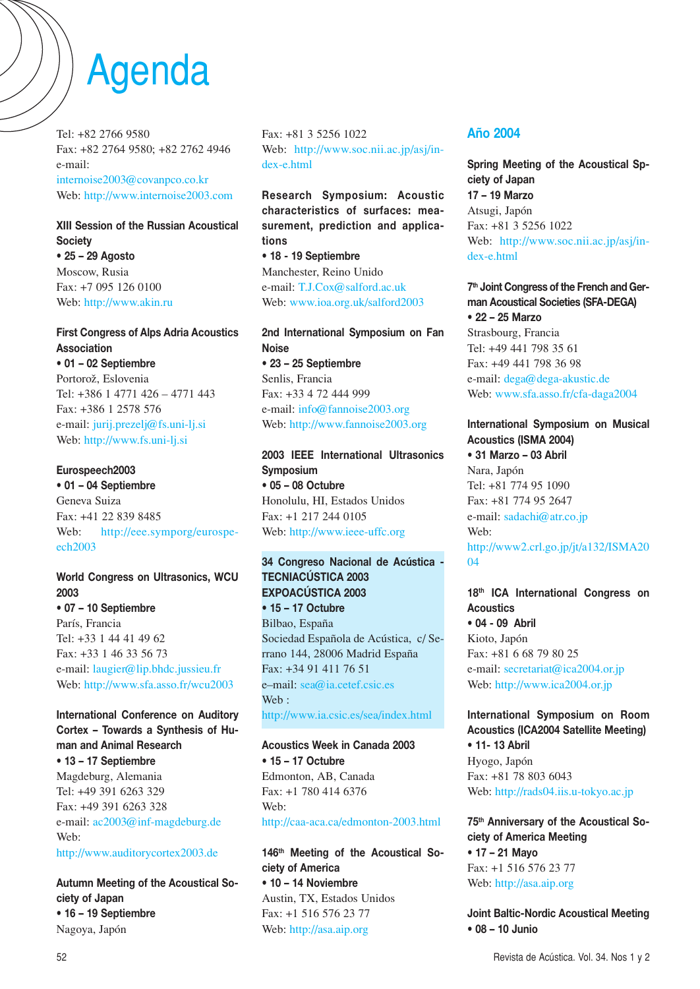# Agenda

Tel: +82 2766 9580 Fax: +82 2764 9580; +82 2762 4946 e-mail: internoise2003@covanpco.co.kr Web: http://www.internoise2003.com

# **XIII Session of the Russian Acoustical Society**

**• 25 – 29 Agosto** Moscow, Rusia Fax: +7 095 126 0100 Web: http://www.akin.ru

### **First Congress of Alps Adria Acoustics Association**

**• 01 – 02 Septiembre** Portorož, Eslovenia Tel: +386 1 4771 426 – 4771 443 Fax: +386 1 2578 576 e-mail: jurij.prezelj@fs.uni-lj.si Web: http://www.fs.uni-lj.si

### **Eurospeech2003**

**• 01 – 04 Septiembre** Geneva Suiza Fax: +41 22 839 8485 Web: http://eee.symporg/eurospeech2003

# **World Congress on Ultrasonics, WCU 2003**

**• 07 – 10 Septiembre** París, Francia Tel: +33 1 44 41 49 62 Fax: +33 1 46 33 56 73 e-mail: laugier@lip.bhdc.jussieu.fr Web: http://www.sfa.asso.fr/wcu2003

#### **International Conference on Auditory Cortex – Towards a Synthesis of Human and Animal Research • 13 – 17 Septiembre** Magdeburg, Alemania Tel: +49 391 6263 329

Fax: +49 391 6263 328 e-mail: ac2003@inf-magdeburg.de Web:

http://www.auditorycortex2003.de

**Autumn Meeting of the Acoustical Society of Japan • 16 – 19 Septiembre** Nagoya, Japón

Fax: +81 3 5256 1022 Web: http://www.soc.nii.ac.jp/asj/index-e.html

**Research Symposium: Acoustic characteristics of surfaces: measurement, prediction and applications • 18 - 19 Septiembre**

Manchester, Reino Unido e-mail: T.J.Cox@salford.ac.uk Web: www.ioa.org.uk/salford2003

#### **2nd International Symposium on Fan Noise • 23 – 25 Septiembre** Senlis, Francia

Fax: +33 4 72 444 999 e-mail: info@fannoise2003.org Web: http://www.fannoise2003.org

## **2003 IEEE International Ultrasonics Symposium • 05 – 08 Octubre** Honolulu, HI, Estados Unidos Fax: +1 217 244 0105

Web: http://www.ieee-uffc.org

#### **34 Congreso Nacional de Acústica - TECNIACÚSTICA 2003 EXPOACÚSTICA 2003 • 15 – 17 Octubre**

Bilbao, España Sociedad Española de Acústica, c/ Serrano 144, 28006 Madrid España Fax: +34 91 411 76 51 e–mail: sea@ia.cetef.csic.es Web: http://www.ia.csic.es/sea/index.html

## **Acoustics Week in Canada 2003 • 15 – 17 Octubre** Edmonton, AB, Canada Fax: +1 780 414 6376 Web: http://caa-aca.ca/edmonton-2003.html

**146th Meeting of the Acoustical Society of America • 10 – 14 Noviembre** Austin, TX, Estados Unidos Fax: +1 516 576 23 77 Web: http://asa.aip.org

## **Año 2004**

**Spring Meeting of the Acoustical Spciety of Japan 17 – 19 Marzo** Atsugi, Japón Fax: +81 3 5256 1022 Web: http://www.soc.nii.ac.jp/asj/index-e.html

**7th Joint Congress of the French and German Acoustical Societies (SFA-DEGA) • 22 – 25 Marzo** Strasbourg, Francia Tel: +49 441 798 35 61 Fax: +49 441 798 36 98 e-mail: dega@dega-akustic.de Web: www.sfa.asso.fr/cfa-daga2004

#### **International Symposium on Musical Acoustics (ISMA 2004)**

**• 31 Marzo – 03 Abril** Nara, Japón Tel: +81 774 95 1090 Fax: +81 774 95 2647 e-mail: sadachi@atr.co.jp Web: http://www2.crl.go.jp/jt/a132/ISMA20 04

## **18th ICA International Congress on Acoustics**

**• 04 - 09 Abril** Kioto, Japón Fax: +81 6 68 79 80 25 e-mail: secretariat@ica2004.or.jp Web: http://www.ica2004.or.jp

# **International Symposium on Room Acoustics (ICA2004 Satellite Meeting)**

**• 11- 13 Abril** Hyogo, Japón Fax: +81 78 803 6043 Web: http://rads04.iis.u-tokyo.ac.jp

## **75th Anniversary of the Acoustical Society of America Meeting**

**• 17 – 21 Mayo** Fax: +1 516 576 23 77 Web: http://asa.aip.org

**Joint Baltic-Nordic Acoustical Meeting • 08 – 10 Junio**